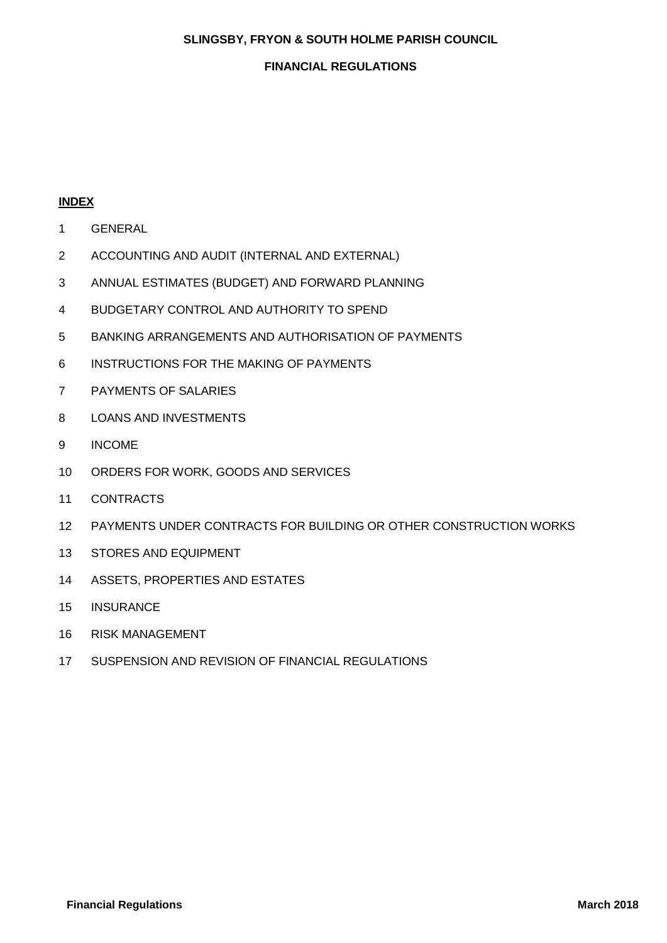#### **SLINGSBY, FRYON & SOUTH HOLME PARISH COUNCIL**

#### **FINANCIAL REGULATIONS**

## **INDEX**

- GENERAL
- ACCOUNTING AND AUDIT (INTERNAL AND EXTERNAL)
- ANNUAL ESTIMATES (BUDGET) AND FORWARD PLANNING
- BUDGETARY CONTROL AND AUTHORITY TO SPEND
- BANKING ARRANGEMENTS AND AUTHORISATION OF PAYMENTS
- INSTRUCTIONS FOR THE MAKING OF PAYMENTS
- PAYMENTS OF SALARIES
- LOANS AND INVESTMENTS
- INCOME
- ORDERS FOR WORK, GOODS AND SERVICES
- CONTRACTS
- PAYMENTS UNDER CONTRACTS FOR BUILDING OR OTHER CONSTRUCTION WORKS
- STORES AND EQUIPMENT
- ASSETS, PROPERTIES AND ESTATES
- INSURANCE
- RISK MANAGEMENT
- SUSPENSION AND REVISION OF FINANCIAL REGULATIONS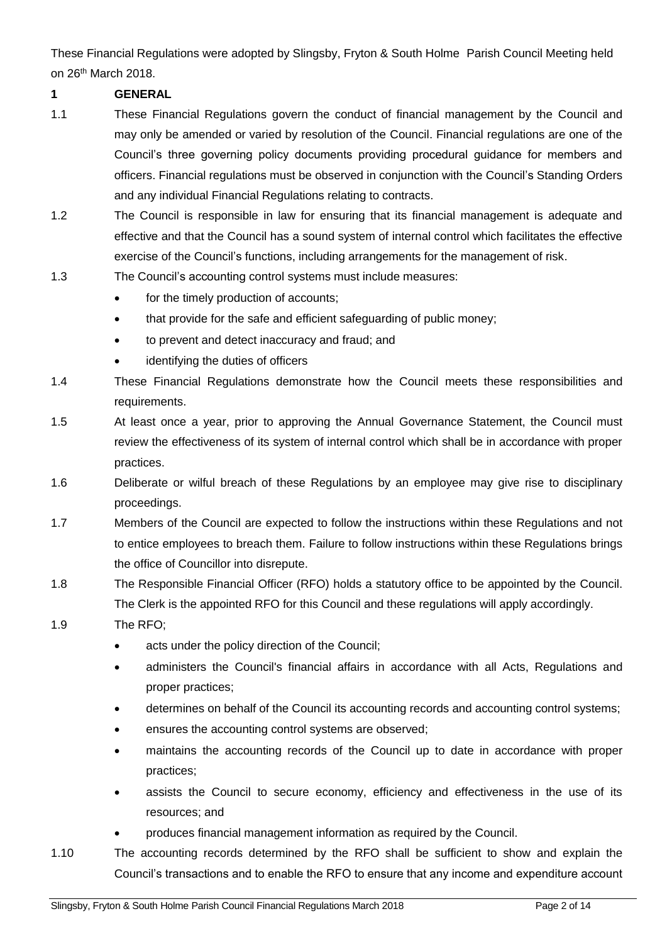These Financial Regulations were adopted by Slingsby, Fryton & South Holme Parish Council Meeting held on 26th March 2018.

# **1 GENERAL**

- 1.1 These Financial Regulations govern the conduct of financial management by the Council and may only be amended or varied by resolution of the Council. Financial regulations are one of the Council's three governing policy documents providing procedural guidance for members and officers. Financial regulations must be observed in conjunction with the Council's Standing Orders and any individual Financial Regulations relating to contracts.
- 1.2 The Council is responsible in law for ensuring that its financial management is adequate and effective and that the Council has a sound system of internal control which facilitates the effective exercise of the Council's functions, including arrangements for the management of risk.
- 1.3 The Council's accounting control systems must include measures:
	- for the timely production of accounts;
	- that provide for the safe and efficient safeguarding of public money;
	- to prevent and detect inaccuracy and fraud; and
	- identifying the duties of officers
- 1.4 These Financial Regulations demonstrate how the Council meets these responsibilities and requirements.
- 1.5 At least once a year, prior to approving the Annual Governance Statement, the Council must review the effectiveness of its system of internal control which shall be in accordance with proper practices.
- 1.6 Deliberate or wilful breach of these Regulations by an employee may give rise to disciplinary proceedings.
- 1.7 Members of the Council are expected to follow the instructions within these Regulations and not to entice employees to breach them. Failure to follow instructions within these Regulations brings the office of Councillor into disrepute.
- 1.8 The Responsible Financial Officer (RFO) holds a statutory office to be appointed by the Council. The Clerk is the appointed RFO for this Council and these regulations will apply accordingly.
- 1.9 The RFO;
	- acts under the policy direction of the Council;
	- administers the Council's financial affairs in accordance with all Acts, Regulations and proper practices;
	- determines on behalf of the Council its accounting records and accounting control systems;
	- ensures the accounting control systems are observed;
	- maintains the accounting records of the Council up to date in accordance with proper practices;
	- assists the Council to secure economy, efficiency and effectiveness in the use of its resources; and
	- produces financial management information as required by the Council.
- 1.10 The accounting records determined by the RFO shall be sufficient to show and explain the Council's transactions and to enable the RFO to ensure that any income and expenditure account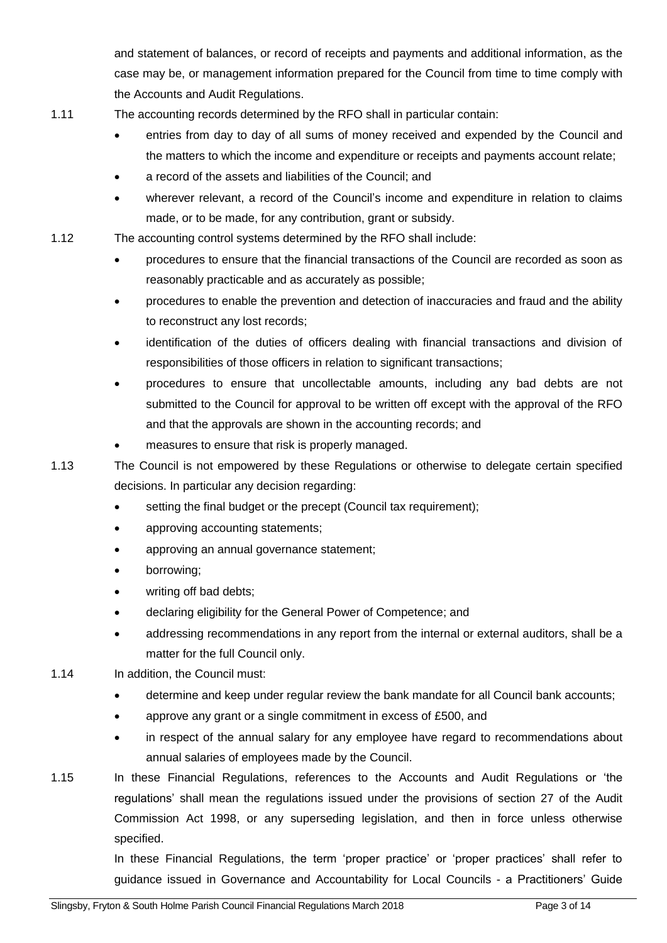and statement of balances, or record of receipts and payments and additional information, as the case may be, or management information prepared for the Council from time to time comply with the Accounts and Audit Regulations.

- 1.11 The accounting records determined by the RFO shall in particular contain:
	- entries from day to day of all sums of money received and expended by the Council and the matters to which the income and expenditure or receipts and payments account relate;
	- a record of the assets and liabilities of the Council; and
	- wherever relevant, a record of the Council's income and expenditure in relation to claims made, or to be made, for any contribution, grant or subsidy.
- 1.12 The accounting control systems determined by the RFO shall include:
	- procedures to ensure that the financial transactions of the Council are recorded as soon as reasonably practicable and as accurately as possible;
	- procedures to enable the prevention and detection of inaccuracies and fraud and the ability to reconstruct any lost records;
	- identification of the duties of officers dealing with financial transactions and division of responsibilities of those officers in relation to significant transactions;
	- procedures to ensure that uncollectable amounts, including any bad debts are not submitted to the Council for approval to be written off except with the approval of the RFO and that the approvals are shown in the accounting records; and
	- measures to ensure that risk is properly managed.

1.13 The Council is not empowered by these Regulations or otherwise to delegate certain specified decisions. In particular any decision regarding:

- setting the final budget or the precept (Council tax requirement);
- approving accounting statements;
- approving an annual governance statement;
- borrowing;
- writing off bad debts;
- declaring eligibility for the General Power of Competence; and
- addressing recommendations in any report from the internal or external auditors, shall be a matter for the full Council only.
- 1.14 In addition, the Council must:
	- determine and keep under regular review the bank mandate for all Council bank accounts;
	- approve any grant or a single commitment in excess of £500, and
	- in respect of the annual salary for any employee have regard to recommendations about annual salaries of employees made by the Council.
- 1.15 In these Financial Regulations, references to the Accounts and Audit Regulations or 'the regulations' shall mean the regulations issued under the provisions of section 27 of the Audit Commission Act 1998, or any superseding legislation, and then in force unless otherwise specified.

In these Financial Regulations, the term 'proper practice' or 'proper practices' shall refer to guidance issued in Governance and Accountability for Local Councils - a Practitioners' Guide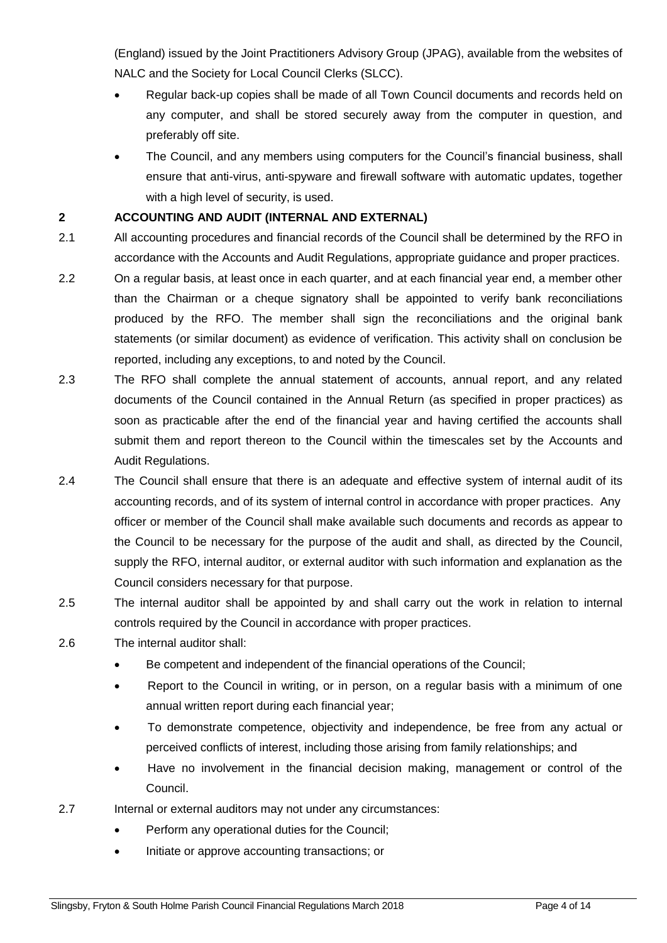(England) issued by the Joint Practitioners Advisory Group (JPAG), available from the websites of NALC and the Society for Local Council Clerks (SLCC).

- Regular back-up copies shall be made of all Town Council documents and records held on any computer, and shall be stored securely away from the computer in question, and preferably off site.
- The Council, and any members using computers for the Council's financial business, shall ensure that anti-virus, anti-spyware and firewall software with automatic updates, together with a high level of security, is used.

## **2 ACCOUNTING AND AUDIT (INTERNAL AND EXTERNAL)**

- 2.1 All accounting procedures and financial records of the Council shall be determined by the RFO in accordance with the Accounts and Audit Regulations, appropriate guidance and proper practices.
- 2.2 On a regular basis, at least once in each quarter, and at each financial year end, a member other than the Chairman or a cheque signatory shall be appointed to verify bank reconciliations produced by the RFO. The member shall sign the reconciliations and the original bank statements (or similar document) as evidence of verification. This activity shall on conclusion be reported, including any exceptions, to and noted by the Council.
- 2.3 The RFO shall complete the annual statement of accounts, annual report, and any related documents of the Council contained in the Annual Return (as specified in proper practices) as soon as practicable after the end of the financial year and having certified the accounts shall submit them and report thereon to the Council within the timescales set by the Accounts and Audit Regulations.
- 2.4 The Council shall ensure that there is an adequate and effective system of internal audit of its accounting records, and of its system of internal control in accordance with proper practices. Any officer or member of the Council shall make available such documents and records as appear to the Council to be necessary for the purpose of the audit and shall, as directed by the Council, supply the RFO, internal auditor, or external auditor with such information and explanation as the Council considers necessary for that purpose.
- 2.5 The internal auditor shall be appointed by and shall carry out the work in relation to internal controls required by the Council in accordance with proper practices.
- 2.6 The internal auditor shall:
	- Be competent and independent of the financial operations of the Council;
	- Report to the Council in writing, or in person, on a regular basis with a minimum of one annual written report during each financial year;
	- To demonstrate competence, objectivity and independence, be free from any actual or perceived conflicts of interest, including those arising from family relationships; and
	- Have no involvement in the financial decision making, management or control of the Council.
- 2.7 Internal or external auditors may not under any circumstances:
	- Perform any operational duties for the Council:
	- Initiate or approve accounting transactions; or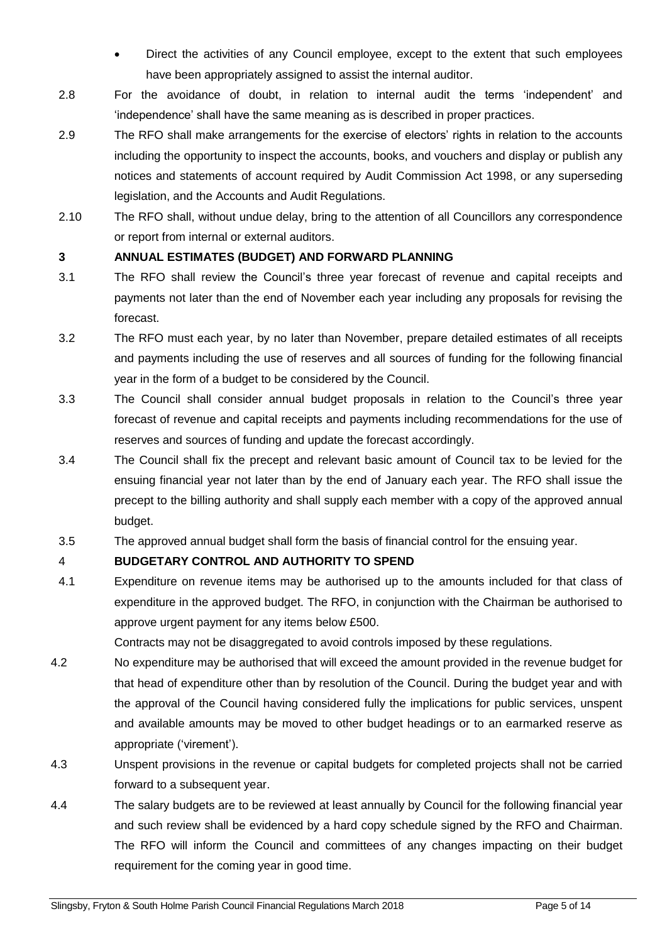- Direct the activities of any Council employee, except to the extent that such employees have been appropriately assigned to assist the internal auditor.
- 2.8 For the avoidance of doubt, in relation to internal audit the terms 'independent' and 'independence' shall have the same meaning as is described in proper practices.
- 2.9 The RFO shall make arrangements for the exercise of electors' rights in relation to the accounts including the opportunity to inspect the accounts, books, and vouchers and display or publish any notices and statements of account required by Audit Commission Act 1998, or any superseding legislation, and the Accounts and Audit Regulations.
- 2.10 The RFO shall, without undue delay, bring to the attention of all Councillors any correspondence or report from internal or external auditors.

## **3 ANNUAL ESTIMATES (BUDGET) AND FORWARD PLANNING**

- 3.1 The RFO shall review the Council's three year forecast of revenue and capital receipts and payments not later than the end of November each year including any proposals for revising the forecast.
- 3.2 The RFO must each year, by no later than November, prepare detailed estimates of all receipts and payments including the use of reserves and all sources of funding for the following financial year in the form of a budget to be considered by the Council.
- 3.3 The Council shall consider annual budget proposals in relation to the Council's three year forecast of revenue and capital receipts and payments including recommendations for the use of reserves and sources of funding and update the forecast accordingly.
- 3.4 The Council shall fix the precept and relevant basic amount of Council tax to be levied for the ensuing financial year not later than by the end of January each year. The RFO shall issue the precept to the billing authority and shall supply each member with a copy of the approved annual budget.
- 3.5 The approved annual budget shall form the basis of financial control for the ensuing year.

# 4 **BUDGETARY CONTROL AND AUTHORITY TO SPEND**

4.1 Expenditure on revenue items may be authorised up to the amounts included for that class of expenditure in the approved budget. The RFO, in conjunction with the Chairman be authorised to approve urgent payment for any items below £500.

Contracts may not be disaggregated to avoid controls imposed by these regulations.

- 4.2 No expenditure may be authorised that will exceed the amount provided in the revenue budget for that head of expenditure other than by resolution of the Council. During the budget year and with the approval of the Council having considered fully the implications for public services, unspent and available amounts may be moved to other budget headings or to an earmarked reserve as appropriate ('virement').
- 4.3 Unspent provisions in the revenue or capital budgets for completed projects shall not be carried forward to a subsequent year.
- 4.4 The salary budgets are to be reviewed at least annually by Council for the following financial year and such review shall be evidenced by a hard copy schedule signed by the RFO and Chairman. The RFO will inform the Council and committees of any changes impacting on their budget requirement for the coming year in good time.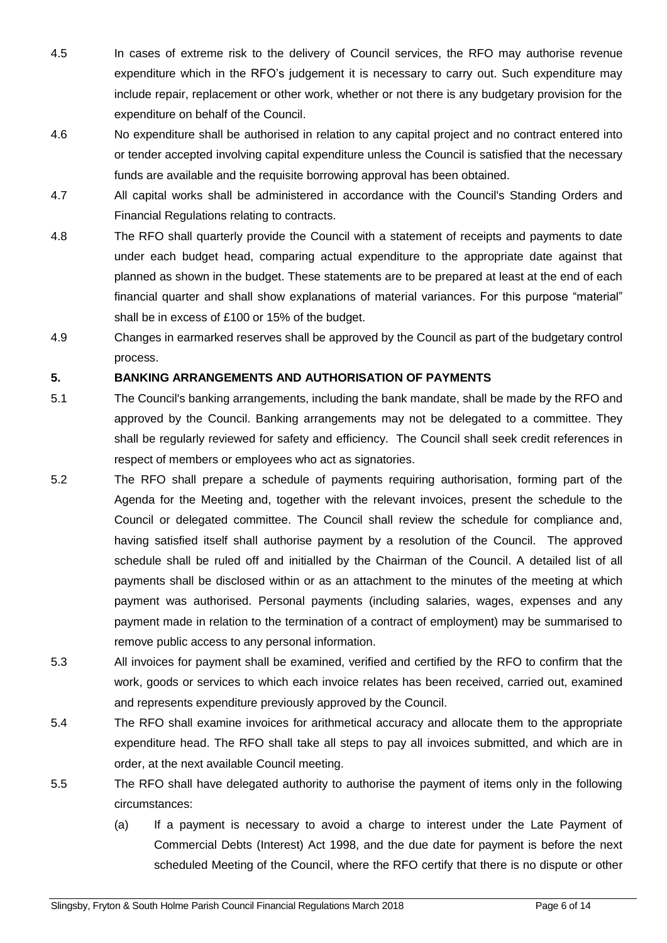- 4.5 In cases of extreme risk to the delivery of Council services, the RFO may authorise revenue expenditure which in the RFO's judgement it is necessary to carry out. Such expenditure may include repair, replacement or other work, whether or not there is any budgetary provision for the expenditure on behalf of the Council.
- 4.6 No expenditure shall be authorised in relation to any capital project and no contract entered into or tender accepted involving capital expenditure unless the Council is satisfied that the necessary funds are available and the requisite borrowing approval has been obtained.
- 4.7 All capital works shall be administered in accordance with the Council's Standing Orders and Financial Regulations relating to contracts.
- 4.8 The RFO shall quarterly provide the Council with a statement of receipts and payments to date under each budget head, comparing actual expenditure to the appropriate date against that planned as shown in the budget. These statements are to be prepared at least at the end of each financial quarter and shall show explanations of material variances. For this purpose "material" shall be in excess of £100 or 15% of the budget.
- 4.9 Changes in earmarked reserves shall be approved by the Council as part of the budgetary control process.

## **5. BANKING ARRANGEMENTS AND AUTHORISATION OF PAYMENTS**

- 5.1 The Council's banking arrangements, including the bank mandate, shall be made by the RFO and approved by the Council. Banking arrangements may not be delegated to a committee. They shall be regularly reviewed for safety and efficiency. The Council shall seek credit references in respect of members or employees who act as signatories.
- 5.2 The RFO shall prepare a schedule of payments requiring authorisation, forming part of the Agenda for the Meeting and, together with the relevant invoices, present the schedule to the Council or delegated committee. The Council shall review the schedule for compliance and, having satisfied itself shall authorise payment by a resolution of the Council. The approved schedule shall be ruled off and initialled by the Chairman of the Council. A detailed list of all payments shall be disclosed within or as an attachment to the minutes of the meeting at which payment was authorised. Personal payments (including salaries, wages, expenses and any payment made in relation to the termination of a contract of employment) may be summarised to remove public access to any personal information.
- 5.3 All invoices for payment shall be examined, verified and certified by the RFO to confirm that the work, goods or services to which each invoice relates has been received, carried out, examined and represents expenditure previously approved by the Council.
- 5.4 The RFO shall examine invoices for arithmetical accuracy and allocate them to the appropriate expenditure head. The RFO shall take all steps to pay all invoices submitted, and which are in order, at the next available Council meeting.
- 5.5 The RFO shall have delegated authority to authorise the payment of items only in the following circumstances:
	- (a) If a payment is necessary to avoid a charge to interest under the Late Payment of Commercial Debts (Interest) Act 1998, and the due date for payment is before the next scheduled Meeting of the Council, where the RFO certify that there is no dispute or other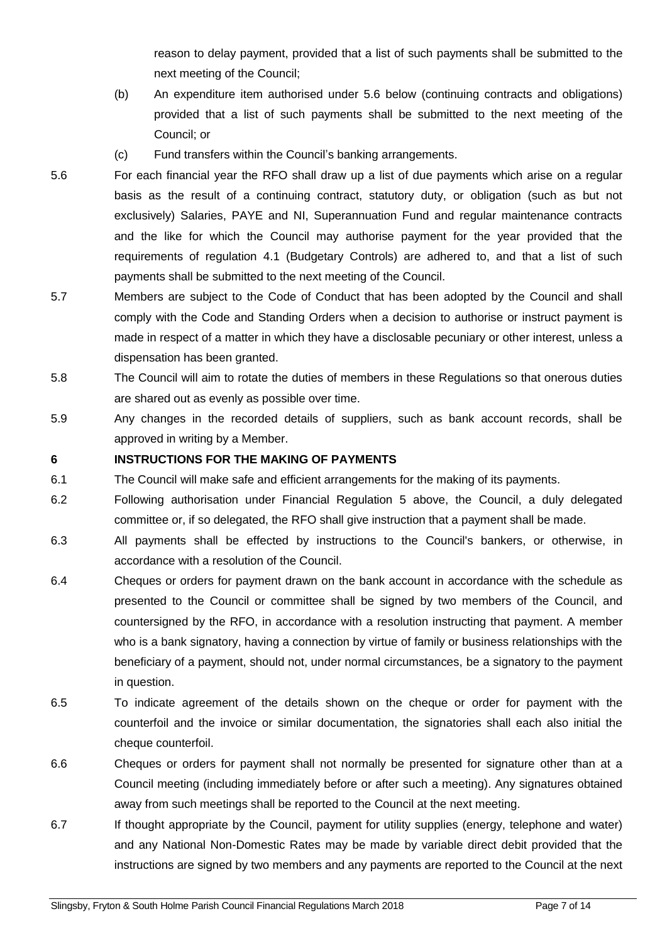reason to delay payment, provided that a list of such payments shall be submitted to the next meeting of the Council;

- (b) An expenditure item authorised under 5.6 below (continuing contracts and obligations) provided that a list of such payments shall be submitted to the next meeting of the Council; or
- (c) Fund transfers within the Council's banking arrangements.
- 5.6 For each financial year the RFO shall draw up a list of due payments which arise on a regular basis as the result of a continuing contract, statutory duty, or obligation (such as but not exclusively) Salaries, PAYE and NI, Superannuation Fund and regular maintenance contracts and the like for which the Council may authorise payment for the year provided that the requirements of regulation 4.1 (Budgetary Controls) are adhered to, and that a list of such payments shall be submitted to the next meeting of the Council.
- 5.7 Members are subject to the Code of Conduct that has been adopted by the Council and shall comply with the Code and Standing Orders when a decision to authorise or instruct payment is made in respect of a matter in which they have a disclosable pecuniary or other interest, unless a dispensation has been granted.
- 5.8 The Council will aim to rotate the duties of members in these Regulations so that onerous duties are shared out as evenly as possible over time.
- 5.9 Any changes in the recorded details of suppliers, such as bank account records, shall be approved in writing by a Member.

## **6 INSTRUCTIONS FOR THE MAKING OF PAYMENTS**

- 6.1 The Council will make safe and efficient arrangements for the making of its payments.
- 6.2 Following authorisation under Financial Regulation 5 above, the Council, a duly delegated committee or, if so delegated, the RFO shall give instruction that a payment shall be made.
- 6.3 All payments shall be effected by instructions to the Council's bankers, or otherwise, in accordance with a resolution of the Council.
- 6.4 Cheques or orders for payment drawn on the bank account in accordance with the schedule as presented to the Council or committee shall be signed by two members of the Council, and countersigned by the RFO, in accordance with a resolution instructing that payment. A member who is a bank signatory, having a connection by virtue of family or business relationships with the beneficiary of a payment, should not, under normal circumstances, be a signatory to the payment in question.
- 6.5 To indicate agreement of the details shown on the cheque or order for payment with the counterfoil and the invoice or similar documentation, the signatories shall each also initial the cheque counterfoil.
- 6.6 Cheques or orders for payment shall not normally be presented for signature other than at a Council meeting (including immediately before or after such a meeting). Any signatures obtained away from such meetings shall be reported to the Council at the next meeting.
- 6.7 If thought appropriate by the Council, payment for utility supplies (energy, telephone and water) and any National Non-Domestic Rates may be made by variable direct debit provided that the instructions are signed by two members and any payments are reported to the Council at the next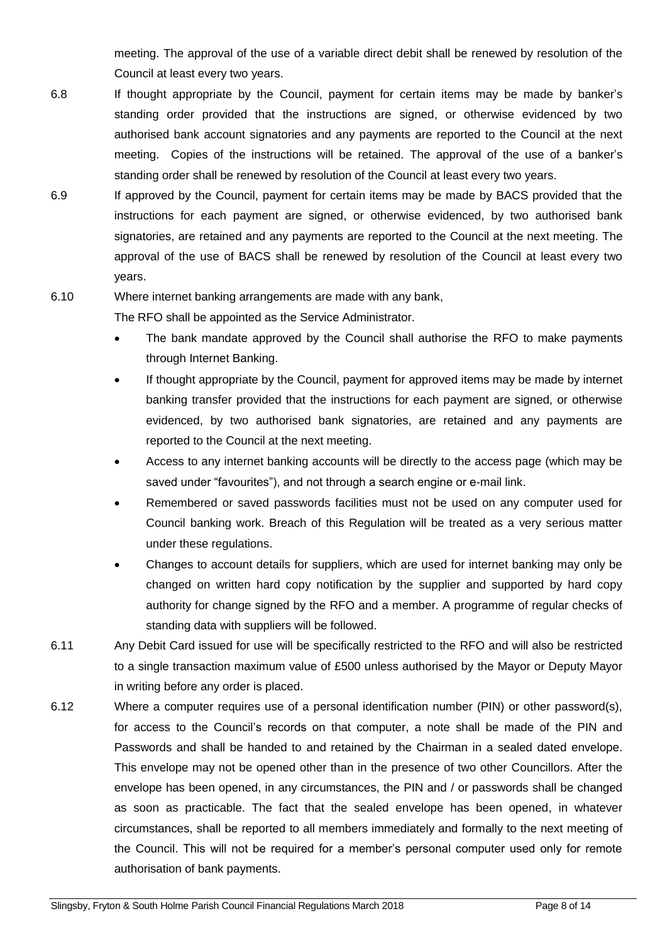meeting. The approval of the use of a variable direct debit shall be renewed by resolution of the Council at least every two years.

- 6.8 If thought appropriate by the Council, payment for certain items may be made by banker's standing order provided that the instructions are signed, or otherwise evidenced by two authorised bank account signatories and any payments are reported to the Council at the next meeting. Copies of the instructions will be retained. The approval of the use of a banker's standing order shall be renewed by resolution of the Council at least every two years.
- 6.9 If approved by the Council, payment for certain items may be made by BACS provided that the instructions for each payment are signed, or otherwise evidenced, by two authorised bank signatories, are retained and any payments are reported to the Council at the next meeting. The approval of the use of BACS shall be renewed by resolution of the Council at least every two years.
- 6.10 Where internet banking arrangements are made with any bank,

The RFO shall be appointed as the Service Administrator.

- The bank mandate approved by the Council shall authorise the RFO to make payments through Internet Banking.
- If thought appropriate by the Council, payment for approved items may be made by internet banking transfer provided that the instructions for each payment are signed, or otherwise evidenced, by two authorised bank signatories, are retained and any payments are reported to the Council at the next meeting.
- Access to any internet banking accounts will be directly to the access page (which may be saved under "favourites"), and not through a search engine or e-mail link.
- Remembered or saved passwords facilities must not be used on any computer used for Council banking work. Breach of this Regulation will be treated as a very serious matter under these regulations.
- Changes to account details for suppliers, which are used for internet banking may only be changed on written hard copy notification by the supplier and supported by hard copy authority for change signed by the RFO and a member. A programme of regular checks of standing data with suppliers will be followed.
- 6.11 Any Debit Card issued for use will be specifically restricted to the RFO and will also be restricted to a single transaction maximum value of £500 unless authorised by the Mayor or Deputy Mayor in writing before any order is placed.
- 6.12 Where a computer requires use of a personal identification number (PIN) or other password(s), for access to the Council's records on that computer, a note shall be made of the PIN and Passwords and shall be handed to and retained by the Chairman in a sealed dated envelope. This envelope may not be opened other than in the presence of two other Councillors. After the envelope has been opened, in any circumstances, the PIN and / or passwords shall be changed as soon as practicable. The fact that the sealed envelope has been opened, in whatever circumstances, shall be reported to all members immediately and formally to the next meeting of the Council. This will not be required for a member's personal computer used only for remote authorisation of bank payments.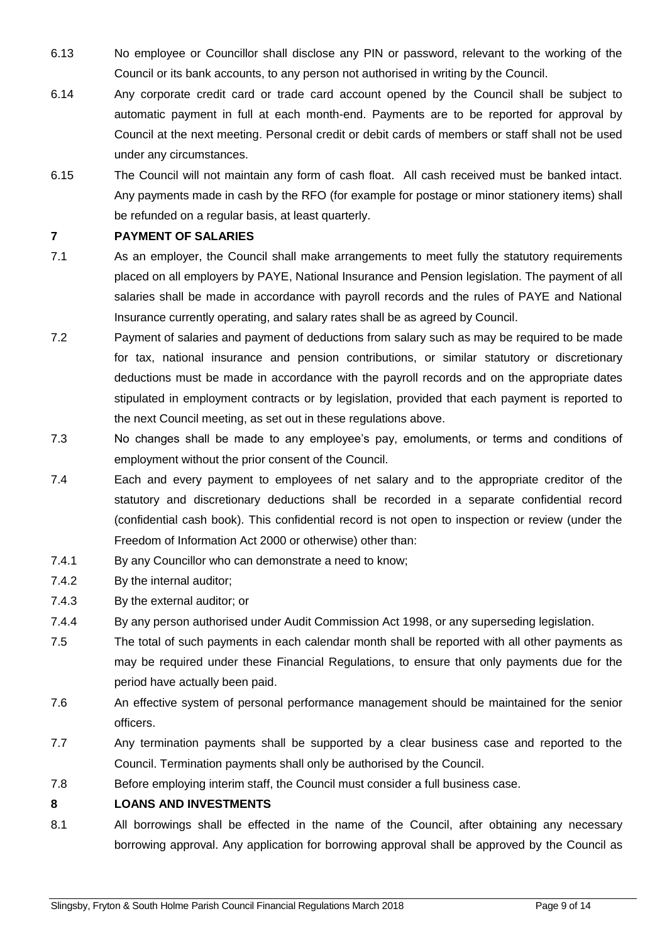- 6.13 No employee or Councillor shall disclose any PIN or password, relevant to the working of the Council or its bank accounts, to any person not authorised in writing by the Council.
- 6.14 Any corporate credit card or trade card account opened by the Council shall be subject to automatic payment in full at each month-end. Payments are to be reported for approval by Council at the next meeting. Personal credit or debit cards of members or staff shall not be used under any circumstances.
- 6.15 The Council will not maintain any form of cash float. All cash received must be banked intact. Any payments made in cash by the RFO (for example for postage or minor stationery items) shall be refunded on a regular basis, at least quarterly.

## **7 PAYMENT OF SALARIES**

- 7.1 As an employer, the Council shall make arrangements to meet fully the statutory requirements placed on all employers by PAYE, National Insurance and Pension legislation. The payment of all salaries shall be made in accordance with payroll records and the rules of PAYE and National Insurance currently operating, and salary rates shall be as agreed by Council.
- 7.2 Payment of salaries and payment of deductions from salary such as may be required to be made for tax, national insurance and pension contributions, or similar statutory or discretionary deductions must be made in accordance with the payroll records and on the appropriate dates stipulated in employment contracts or by legislation, provided that each payment is reported to the next Council meeting, as set out in these regulations above.
- 7.3 No changes shall be made to any employee's pay, emoluments, or terms and conditions of employment without the prior consent of the Council.
- 7.4 Each and every payment to employees of net salary and to the appropriate creditor of the statutory and discretionary deductions shall be recorded in a separate confidential record (confidential cash book). This confidential record is not open to inspection or review (under the Freedom of Information Act 2000 or otherwise) other than:
- 7.4.1 By any Councillor who can demonstrate a need to know;
- 7.4.2 By the internal auditor;
- 7.4.3 By the external auditor; or
- 7.4.4 By any person authorised under Audit Commission Act 1998, or any superseding legislation.
- 7.5 The total of such payments in each calendar month shall be reported with all other payments as may be required under these Financial Regulations, to ensure that only payments due for the period have actually been paid.
- 7.6 An effective system of personal performance management should be maintained for the senior officers.
- 7.7 Any termination payments shall be supported by a clear business case and reported to the Council. Termination payments shall only be authorised by the Council.
- 7.8 Before employing interim staff, the Council must consider a full business case.

## **8 LOANS AND INVESTMENTS**

8.1 All borrowings shall be effected in the name of the Council, after obtaining any necessary borrowing approval. Any application for borrowing approval shall be approved by the Council as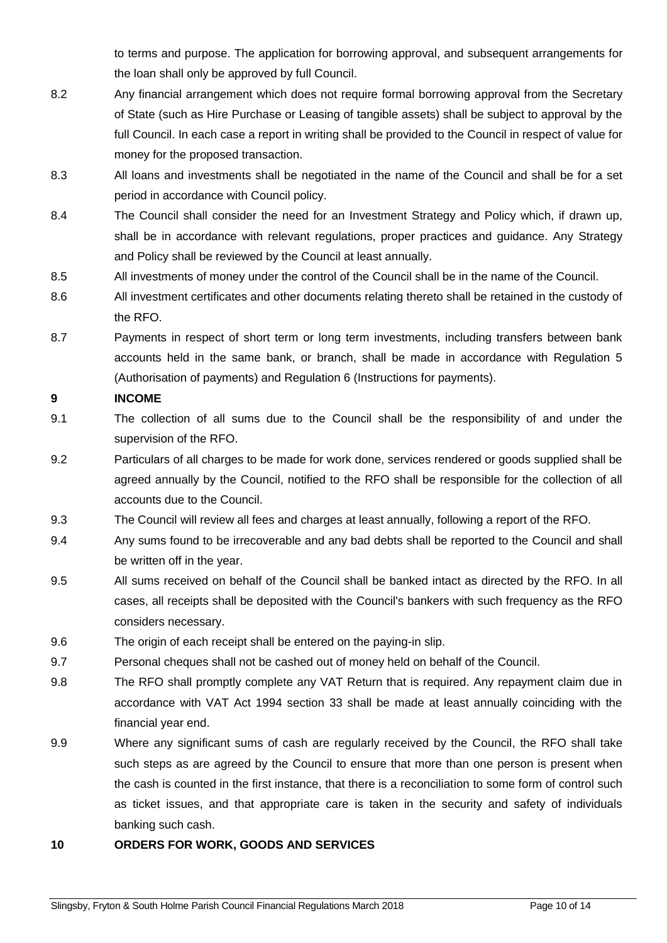to terms and purpose. The application for borrowing approval, and subsequent arrangements for the loan shall only be approved by full Council.

- 8.2 Any financial arrangement which does not require formal borrowing approval from the Secretary of State (such as Hire Purchase or Leasing of tangible assets) shall be subject to approval by the full Council. In each case a report in writing shall be provided to the Council in respect of value for money for the proposed transaction.
- 8.3 All loans and investments shall be negotiated in the name of the Council and shall be for a set period in accordance with Council policy.
- 8.4 The Council shall consider the need for an Investment Strategy and Policy which, if drawn up, shall be in accordance with relevant regulations, proper practices and guidance. Any Strategy and Policy shall be reviewed by the Council at least annually.
- 8.5 All investments of money under the control of the Council shall be in the name of the Council.
- 8.6 All investment certificates and other documents relating thereto shall be retained in the custody of the RFO.
- 8.7 Payments in respect of short term or long term investments, including transfers between bank accounts held in the same bank, or branch, shall be made in accordance with Regulation 5 (Authorisation of payments) and Regulation 6 (Instructions for payments).

## **9 INCOME**

- 9.1 The collection of all sums due to the Council shall be the responsibility of and under the supervision of the RFO.
- 9.2 Particulars of all charges to be made for work done, services rendered or goods supplied shall be agreed annually by the Council, notified to the RFO shall be responsible for the collection of all accounts due to the Council.
- 9.3 The Council will review all fees and charges at least annually, following a report of the RFO.
- 9.4 Any sums found to be irrecoverable and any bad debts shall be reported to the Council and shall be written off in the year.
- 9.5 All sums received on behalf of the Council shall be banked intact as directed by the RFO. In all cases, all receipts shall be deposited with the Council's bankers with such frequency as the RFO considers necessary.
- 9.6 The origin of each receipt shall be entered on the paying-in slip.
- 9.7 Personal cheques shall not be cashed out of money held on behalf of the Council.
- 9.8 The RFO shall promptly complete any VAT Return that is required. Any repayment claim due in accordance with VAT Act 1994 section 33 shall be made at least annually coinciding with the financial year end.
- 9.9 Where any significant sums of cash are regularly received by the Council, the RFO shall take such steps as are agreed by the Council to ensure that more than one person is present when the cash is counted in the first instance, that there is a reconciliation to some form of control such as ticket issues, and that appropriate care is taken in the security and safety of individuals banking such cash.

## **10 ORDERS FOR WORK, GOODS AND SERVICES**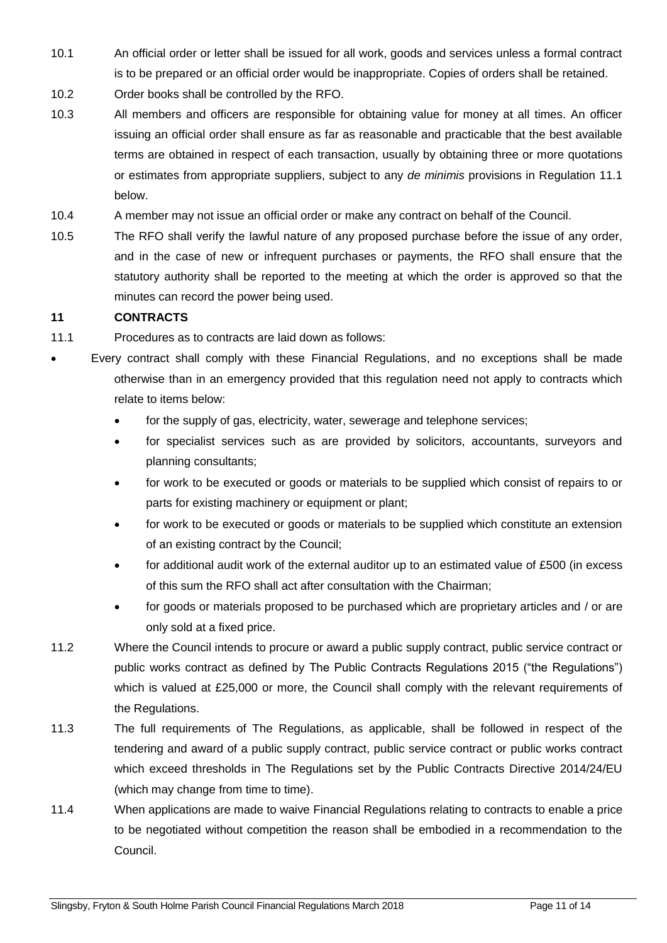- 10.1 An official order or letter shall be issued for all work, goods and services unless a formal contract is to be prepared or an official order would be inappropriate. Copies of orders shall be retained.
- 10.2 Order books shall be controlled by the RFO.
- 10.3 All members and officers are responsible for obtaining value for money at all times. An officer issuing an official order shall ensure as far as reasonable and practicable that the best available terms are obtained in respect of each transaction, usually by obtaining three or more quotations or estimates from appropriate suppliers, subject to any *de minimis* provisions in Regulation 11.1 below.
- 10.4 A member may not issue an official order or make any contract on behalf of the Council.
- 10.5 The RFO shall verify the lawful nature of any proposed purchase before the issue of any order, and in the case of new or infrequent purchases or payments, the RFO shall ensure that the statutory authority shall be reported to the meeting at which the order is approved so that the minutes can record the power being used.

## **11 CONTRACTS**

- 11.1 Procedures as to contracts are laid down as follows:
- Every contract shall comply with these Financial Regulations, and no exceptions shall be made otherwise than in an emergency provided that this regulation need not apply to contracts which relate to items below:
	- for the supply of gas, electricity, water, sewerage and telephone services;
	- for specialist services such as are provided by solicitors, accountants, surveyors and planning consultants;
	- for work to be executed or goods or materials to be supplied which consist of repairs to or parts for existing machinery or equipment or plant;
	- for work to be executed or goods or materials to be supplied which constitute an extension of an existing contract by the Council;
	- for additional audit work of the external auditor up to an estimated value of £500 (in excess of this sum the RFO shall act after consultation with the Chairman;
	- for goods or materials proposed to be purchased which are proprietary articles and / or are only sold at a fixed price.
- 11.2 Where the Council intends to procure or award a public supply contract, public service contract or public works contract as defined by The Public Contracts Regulations 2015 ("the Regulations") which is valued at £25,000 or more, the Council shall comply with the relevant requirements of the Regulations.
- 11.3 The full requirements of The Regulations, as applicable, shall be followed in respect of the tendering and award of a public supply contract, public service contract or public works contract which exceed thresholds in The Regulations set by the Public Contracts Directive 2014/24/EU (which may change from time to time).
- 11.4 When applications are made to waive Financial Regulations relating to contracts to enable a price to be negotiated without competition the reason shall be embodied in a recommendation to the Council.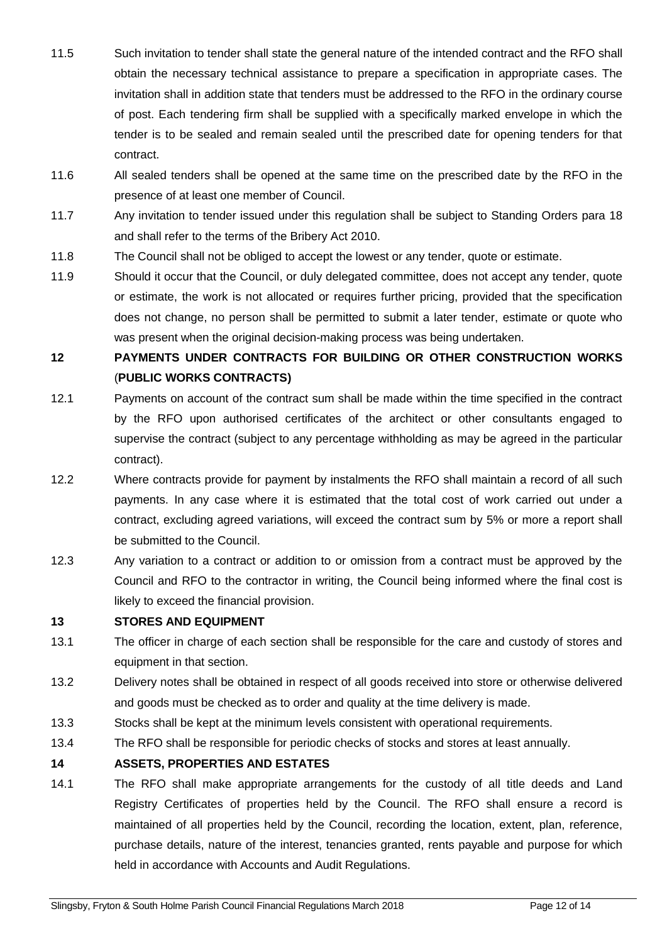- 11.5 Such invitation to tender shall state the general nature of the intended contract and the RFO shall obtain the necessary technical assistance to prepare a specification in appropriate cases. The invitation shall in addition state that tenders must be addressed to the RFO in the ordinary course of post. Each tendering firm shall be supplied with a specifically marked envelope in which the tender is to be sealed and remain sealed until the prescribed date for opening tenders for that contract.
- 11.6 All sealed tenders shall be opened at the same time on the prescribed date by the RFO in the presence of at least one member of Council.
- 11.7 Any invitation to tender issued under this regulation shall be subject to Standing Orders para 18 and shall refer to the terms of the Bribery Act 2010.
- 11.8 The Council shall not be obliged to accept the lowest or any tender, quote or estimate.
- 11.9 Should it occur that the Council, or duly delegated committee, does not accept any tender, quote or estimate, the work is not allocated or requires further pricing, provided that the specification does not change, no person shall be permitted to submit a later tender, estimate or quote who was present when the original decision-making process was being undertaken.

# **12 PAYMENTS UNDER CONTRACTS FOR BUILDING OR OTHER CONSTRUCTION WORKS** (**PUBLIC WORKS CONTRACTS)**

- 12.1 Payments on account of the contract sum shall be made within the time specified in the contract by the RFO upon authorised certificates of the architect or other consultants engaged to supervise the contract (subject to any percentage withholding as may be agreed in the particular contract).
- 12.2 Where contracts provide for payment by instalments the RFO shall maintain a record of all such payments. In any case where it is estimated that the total cost of work carried out under a contract, excluding agreed variations, will exceed the contract sum by 5% or more a report shall be submitted to the Council.
- 12.3 Any variation to a contract or addition to or omission from a contract must be approved by the Council and RFO to the contractor in writing, the Council being informed where the final cost is likely to exceed the financial provision.

# **13 STORES AND EQUIPMENT**

- 13.1 The officer in charge of each section shall be responsible for the care and custody of stores and equipment in that section.
- 13.2 Delivery notes shall be obtained in respect of all goods received into store or otherwise delivered and goods must be checked as to order and quality at the time delivery is made.
- 13.3 Stocks shall be kept at the minimum levels consistent with operational requirements.
- 13.4 The RFO shall be responsible for periodic checks of stocks and stores at least annually.

## **14 ASSETS, PROPERTIES AND ESTATES**

14.1 The RFO shall make appropriate arrangements for the custody of all title deeds and Land Registry Certificates of properties held by the Council. The RFO shall ensure a record is maintained of all properties held by the Council, recording the location, extent, plan, reference, purchase details, nature of the interest, tenancies granted, rents payable and purpose for which held in accordance with Accounts and Audit Regulations.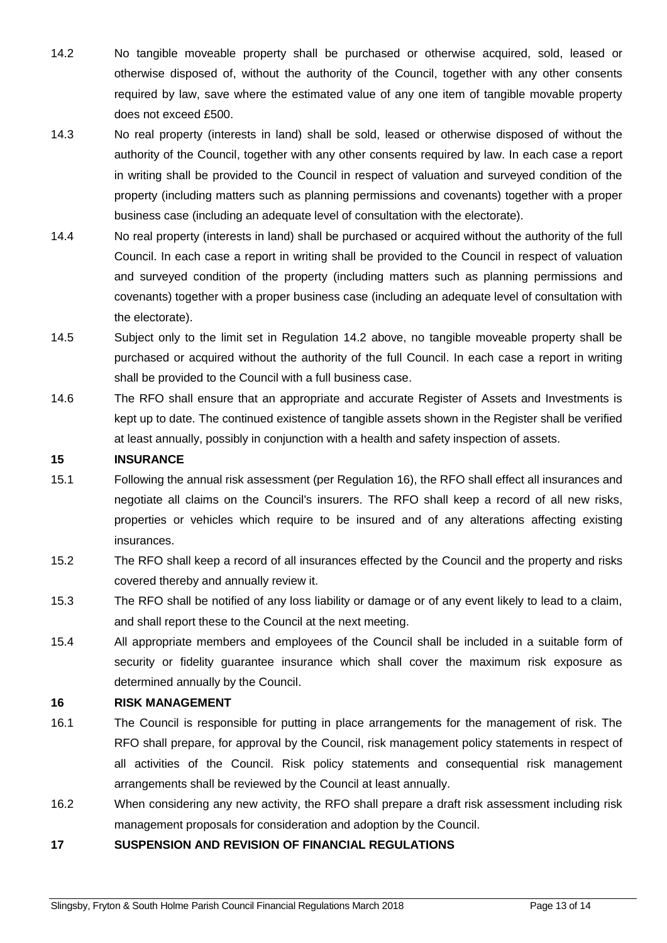- 14.2 No tangible moveable property shall be purchased or otherwise acquired, sold, leased or otherwise disposed of, without the authority of the Council, together with any other consents required by law, save where the estimated value of any one item of tangible movable property does not exceed £500.
- 14.3 No real property (interests in land) shall be sold, leased or otherwise disposed of without the authority of the Council, together with any other consents required by law. In each case a report in writing shall be provided to the Council in respect of valuation and surveyed condition of the property (including matters such as planning permissions and covenants) together with a proper business case (including an adequate level of consultation with the electorate).
- 14.4 No real property (interests in land) shall be purchased or acquired without the authority of the full Council. In each case a report in writing shall be provided to the Council in respect of valuation and surveyed condition of the property (including matters such as planning permissions and covenants) together with a proper business case (including an adequate level of consultation with the electorate).
- 14.5 Subject only to the limit set in Regulation 14.2 above, no tangible moveable property shall be purchased or acquired without the authority of the full Council. In each case a report in writing shall be provided to the Council with a full business case.
- 14.6 The RFO shall ensure that an appropriate and accurate Register of Assets and Investments is kept up to date. The continued existence of tangible assets shown in the Register shall be verified at least annually, possibly in conjunction with a health and safety inspection of assets.

#### **15 INSURANCE**

- 15.1 Following the annual risk assessment (per Regulation 16), the RFO shall effect all insurances and negotiate all claims on the Council's insurers. The RFO shall keep a record of all new risks, properties or vehicles which require to be insured and of any alterations affecting existing insurances.
- 15.2 The RFO shall keep a record of all insurances effected by the Council and the property and risks covered thereby and annually review it.
- 15.3 The RFO shall be notified of any loss liability or damage or of any event likely to lead to a claim, and shall report these to the Council at the next meeting.
- 15.4 All appropriate members and employees of the Council shall be included in a suitable form of security or fidelity guarantee insurance which shall cover the maximum risk exposure as determined annually by the Council.

#### **16 RISK MANAGEMENT**

- 16.1 The Council is responsible for putting in place arrangements for the management of risk. The RFO shall prepare, for approval by the Council, risk management policy statements in respect of all activities of the Council. Risk policy statements and consequential risk management arrangements shall be reviewed by the Council at least annually.
- 16.2 When considering any new activity, the RFO shall prepare a draft risk assessment including risk management proposals for consideration and adoption by the Council.
- **17 SUSPENSION AND REVISION OF FINANCIAL REGULATIONS**